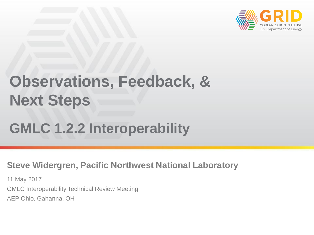

## **Observations, Feedback, & Next Steps**

### **GMLC 1.2.2 Interoperability**

#### **Steve Widergren, Pacific Northwest National Laboratory**

11 May 2017 GMLC Interoperability Technical Review Meeting AEP Ohio, Gahanna, OH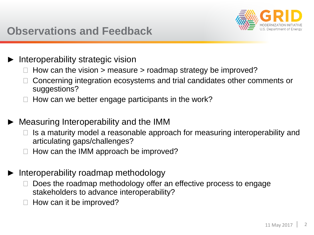

#### **Observations and Feedback**

- Interoperability strategic vision
	- How can the vision  $>$  measure  $>$  roadmap strategy be improved?
	- ◼ Concerning integration ecosystems and trial candidates other comments or suggestions?
	- How can we better engage participants in the work?
- ► Measuring Interoperability and the IMM
	- $\Box$  Is a maturity model a reasonable approach for measuring interoperability and articulating gaps/challenges?
	- ◼ How can the IMM approach be improved?
- Interoperability roadmap methodology
	- Does the roadmap methodology offer an effective process to engage stakeholders to advance interoperability?
	- How can it be improved?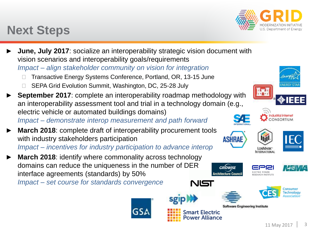#### **Next Steps**

- **June, July 2017:** socialize an interoperability strategic vision document with vision scenarios and interoperability goals/requirements *Impact – align stakeholder community on vision for integration*
	- Transactive Energy Systems Conference, Portland, OR, 13-15 June
	- SEPA Grid Evolution Summit, Washington, DC, 25-28 July
- **September 2017:** complete an interoperability roadmap methodology with an interoperability assessment tool and trial in a technology domain (e.g., electric vehicle or automated buildings domains) *Impact – demonstrate interop measurement and path forward*
- **March 2018:** complete draft of interoperability procurement tools with industry stakeholders participation *Impact – incentives for industry participation to advance interop*
- **March 2018:** identify where commonality across technology domains can reduce the uniqueness in the number of DER interface agreements (standards) by 50% NIST

*Impact – set course for standards convergence*



**Software Engineering Institute** 





















nart Electric **Power Alliance** 

**GRÍDWISE Architecture Council**